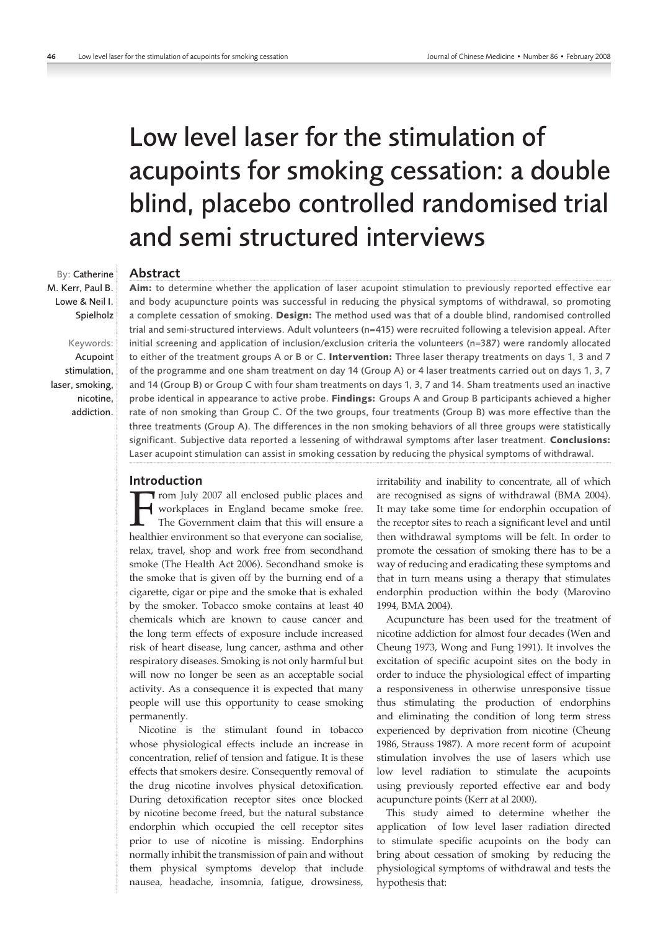# Low level laser for the stimulation of acupoints for smoking cessation: a double blind, placebo controlled randomised trial and semi structured interviews

## Abstract

**Aim:** to determine whether the application of laser acupoint stimulation to previously reported effective ear and body acupuncture points was successful in reducing the physical symptoms of withdrawal, so promoting a complete cessation of smoking. **Design:** The method used was that of a double blind, randomised controlled trial and semi-structured interviews. Adult volunteers (n=415) were recruited following a television appeal. After initial screening and application of inclusion/exclusion criteria the volunteers (n=387) were randomly allocated to either of the treatment groups A or B or C. **Intervention:** Three laser therapy treatments on days 1, 3 and 7 of the programme and one sham treatment on day 14 (Group A) or 4 laser treatments carried out on days 1, 3, 7 and 14 (Group B) or Group C with four sham treatments on days 1, 3, 7 and 14. Sham treatments used an inactive probe identical in appearance to active probe. **Findings:** Groups A and Group B participants achieved a higher rate of non smoking than Group C. Of the two groups, four treatments (Group B) was more effective than the three treatments (Group A). The differences in the non smoking behaviors of all three groups were statistically significant. Subjective data reported a lessening of withdrawal symptoms after laser treatment. **Conclusions:** Laser acupoint stimulation can assist in smoking cessation by reducing the physical symptoms of withdrawal.

#### Introduction

From July 2007 all enclosed public places and<br>workplaces in England became smoke free.<br>The Government claim that this will ensure a<br>healthier environment so that everyone can socialise workplaces in England became smoke free. The Government claim that this will ensure a healthier environment so that everyone can socialise, relax, travel, shop and work free from secondhand smoke (The Health Act 2006). Secondhand smoke is the smoke that is given off by the burning end of a cigarette, cigar or pipe and the smoke that is exhaled by the smoker. Tobacco smoke contains at least 40 chemicals which are known to cause cancer and the long term effects of exposure include increased risk of heart disease, lung cancer, asthma and other respiratory diseases. Smoking is not only harmful but will now no longer be seen as an acceptable social activity. As a consequence it is expected that many people will use this opportunity to cease smoking permanently.

Nicotine is the stimulant found in tobacco whose physiological effects include an increase in concentration, relief of tension and fatigue. It is these effects that smokers desire. Consequently removal of the drug nicotine involves physical detoxification. During detoxification receptor sites once blocked by nicotine become freed, but the natural substance endorphin which occupied the cell receptor sites prior to use of nicotine is missing. Endorphins normally inhibit the transmission of pain and without them physical symptoms develop that include nausea, headache, insomnia, fatigue, drowsiness, irritability and inability to concentrate, all of which are recognised as signs of withdrawal (BMA 2004). It may take some time for endorphin occupation of the receptor sites to reach a significant level and until then withdrawal symptoms will be felt. In order to promote the cessation of smoking there has to be a way of reducing and eradicating these symptoms and that in turn means using a therapy that stimulates endorphin production within the body (Marovino 1994, BMA 2004).

Acupuncture has been used for the treatment of nicotine addiction for almost four decades (Wen and Cheung 1973, Wong and Fung 1991). It involves the excitation of specific acupoint sites on the body in order to induce the physiological effect of imparting a responsiveness in otherwise unresponsive tissue thus stimulating the production of endorphins and eliminating the condition of long term stress experienced by deprivation from nicotine (Cheung 1986, Strauss 1987). A more recent form of acupoint stimulation involves the use of lasers which use low level radiation to stimulate the acupoints using previously reported effective ear and body acupuncture points (Kerr at al 2000).

This study aimed to determine whether the application of low level laser radiation directed to stimulate specific acupoints on the body can bring about cessation of smoking by reducing the physiological symptoms of withdrawal and tests the hypothesis that:

By: Catherine M. Kerr, Paul B. Lowe & Neil I. Spielholz

Keywords: Acupoint stimulation, laser, smoking, nicotine,

addiction.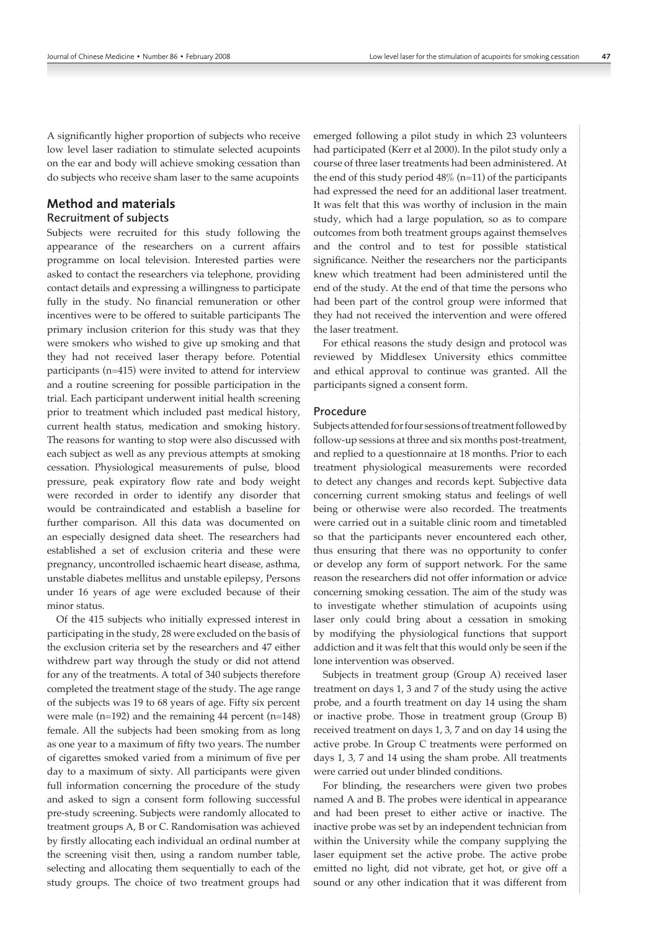A significantly higher proportion of subjects who receive low level laser radiation to stimulate selected acupoints on the ear and body will achieve smoking cessation than do subjects who receive sham laser to the same acupoints

# Method and materials Recruitment of subjects

Subjects were recruited for this study following the appearance of the researchers on a current affairs programme on local television. Interested parties were asked to contact the researchers via telephone, providing contact details and expressing a willingness to participate fully in the study. No financial remuneration or other incentives were to be offered to suitable participants The primary inclusion criterion for this study was that they were smokers who wished to give up smoking and that they had not received laser therapy before. Potential participants (n=415) were invited to attend for interview and a routine screening for possible participation in the trial. Each participant underwent initial health screening prior to treatment which included past medical history, current health status, medication and smoking history. The reasons for wanting to stop were also discussed with each subject as well as any previous attempts at smoking cessation. Physiological measurements of pulse, blood pressure, peak expiratory flow rate and body weight were recorded in order to identify any disorder that would be contraindicated and establish a baseline for further comparison. All this data was documented on an especially designed data sheet. The researchers had established a set of exclusion criteria and these were pregnancy, uncontrolled ischaemic heart disease, asthma, unstable diabetes mellitus and unstable epilepsy, Persons under 16 years of age were excluded because of their minor status.

Of the 415 subjects who initially expressed interest in participating in the study, 28 were excluded on the basis of the exclusion criteria set by the researchers and 47 either withdrew part way through the study or did not attend for any of the treatments. A total of 340 subjects therefore completed the treatment stage of the study. The age range of the subjects was 19 to 68 years of age. Fifty six percent were male (n=192) and the remaining 44 percent (n=148) female. All the subjects had been smoking from as long as one year to a maximum of fifty two years. The number of cigarettes smoked varied from a minimum of five per day to a maximum of sixty. All participants were given full information concerning the procedure of the study and asked to sign a consent form following successful pre‑study screening. Subjects were randomly allocated to treatment groups A, B or C. Randomisation was achieved by firstly allocating each individual an ordinal number at the screening visit then, using a random number table, selecting and allocating them sequentially to each of the study groups. The choice of two treatment groups had

emerged following a pilot study in which 23 volunteers had participated (Kerr et al 2000). In the pilot study only a course of three laser treatments had been administered. At the end of this study period  $48\%$  (n=11) of the participants had expressed the need for an additional laser treatment. It was felt that this was worthy of inclusion in the main study, which had a large population, so as to compare outcomes from both treatment groups against themselves and the control and to test for possible statistical significance. Neither the researchers nor the participants knew which treatment had been administered until the end of the study. At the end of that time the persons who had been part of the control group were informed that they had not received the intervention and were offered the laser treatment.

For ethical reasons the study design and protocol was reviewed by Middlesex University ethics committee and ethical approval to continue was granted. All the participants signed a consent form.

#### Procedure

Subjects attended for four sessions of treatment followed by follow-up sessions at three and six months post-treatment, and replied to a questionnaire at 18 months. Prior to each treatment physiological measurements were recorded to detect any changes and records kept. Subjective data concerning current smoking status and feelings of well being or otherwise were also recorded. The treatments were carried out in a suitable clinic room and timetabled so that the participants never encountered each other, thus ensuring that there was no opportunity to confer or develop any form of support network. For the same reason the researchers did not offer information or advice concerning smoking cessation. The aim of the study was to investigate whether stimulation of acupoints using laser only could bring about a cessation in smoking by modifying the physiological functions that support addiction and it was felt that this would only be seen if the lone intervention was observed.

Subjects in treatment group (Group A) received laser treatment on days 1, 3 and 7 of the study using the active probe, and a fourth treatment on day 14 using the sham or inactive probe. Those in treatment group (Group B) received treatment on days 1, 3, 7 and on day 14 using the active probe. In Group C treatments were performed on days 1, 3, 7 and 14 using the sham probe. All treatments were carried out under blinded conditions.

For blinding, the researchers were given two probes named A and B. The probes were identical in appearance and had been preset to either active or inactive. The inactive probe was set by an independent technician from within the University while the company supplying the laser equipment set the active probe. The active probe emitted no light, did not vibrate, get hot, or give off a sound or any other indication that it was different from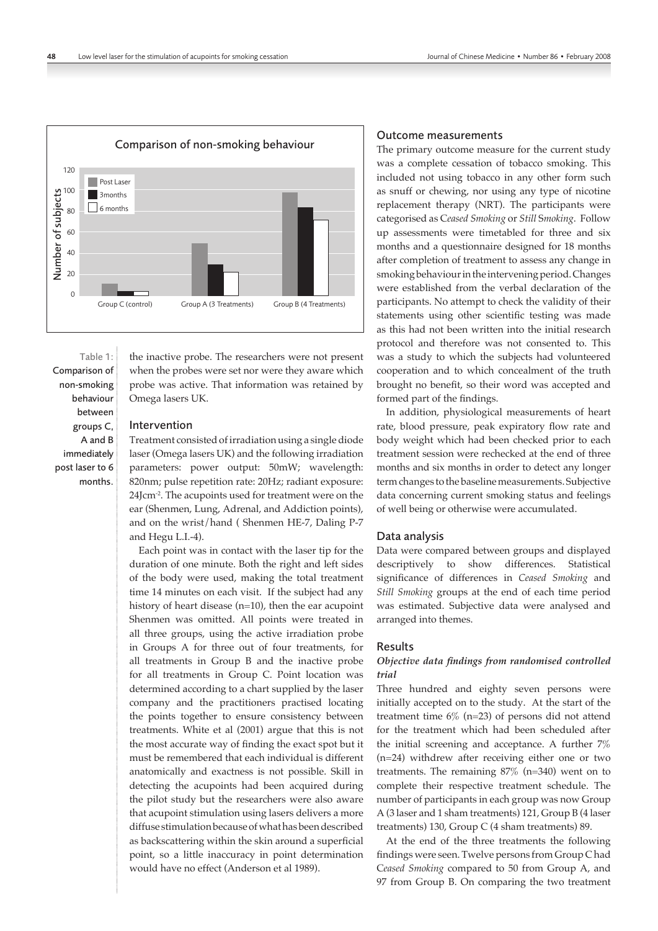

Table 1: Comparison of non-smoking behaviour between groups C, A and B immediately post laser to 6 months.

the inactive probe. The researchers were not present when the probes were set nor were they aware which probe was active. That information was retained by Omega lasers UK.

# Intervention

Treatment consisted of irradiation using a single diode laser (Omega lasers UK) and the following irradiation parameters: power output: 50mW; wavelength: 820nm; pulse repetition rate: 20Hz; radiant exposure: 24Jcm<sup>-2</sup>. The acupoints used for treatment were on the ear (Shenmen, Lung, Adrenal, and Addiction points), and on the wrist/hand (Shenmen HE-7, Daling P-7 and Hegu L.I.-4).

Each point was in contact with the laser tip for the duration of one minute. Both the right and left sides of the body were used, making the total treatment time 14 minutes on each visit. If the subject had any history of heart disease (n=10), then the ear acupoint Shenmen was omitted. All points were treated in all three groups, using the active irradiation probe in Groups A for three out of four treatments, for all treatments in Group B and the inactive probe for all treatments in Group C. Point location was determined according to a chart supplied by the laser company and the practitioners practised locating the points together to ensure consistency between treatments. White et al (2001) argue that this is not the most accurate way of finding the exact spot but it must be remembered that each individual is different anatomically and exactness is not possible. Skill in detecting the acupoints had been acquired during the pilot study but the researchers were also aware that acupoint stimulation using lasers delivers a more diffuse stimulation because of what has been described as backscattering within the skin around a superficial point, so a little inaccuracy in point determination would have no effect (Anderson et al 1989).

# Outcome measurements

The primary outcome measure for the current study was a complete cessation of tobacco smoking. This included not using tobacco in any other form such as snuff or chewing, nor using any type of nicotine replacement therapy (NRT). The participants were categorised as C*eased Smoking* or *Still* S*moking*. Follow up assessments were timetabled for three and six months and a questionnaire designed for 18 months after completion of treatment to assess any change in smoking behaviour in the intervening period. Changes were established from the verbal declaration of the participants. No attempt to check the validity of their statements using other scientific testing was made as this had not been written into the initial research protocol and therefore was not consented to. This was a study to which the subjects had volunteered cooperation and to which concealment of the truth brought no benefit, so their word was accepted and formed part of the findings.

In addition, physiological measurements of heart rate, blood pressure, peak expiratory flow rate and body weight which had been checked prior to each treatment session were rechecked at the end of three months and six months in order to detect any longer term changes to the baseline measurements. Subjective data concerning current smoking status and feelings of well being or otherwise were accumulated.

#### Data analysis

Data were compared between groups and displayed descriptively to show differences. Statistical significance of differences in *Ceased Smoking* and *Still Smoking* groups at the end of each time period was estimated. Subjective data were analysed and arranged into themes.

### Results

# *Objective data findings from randomised controlled trial*

Three hundred and eighty seven persons were initially accepted on to the study. At the start of the treatment time  $6\%$  (n=23) of persons did not attend for the treatment which had been scheduled after the initial screening and acceptance. A further 7% (n=24) withdrew after receiving either one or two treatments. The remaining  $87\%$  (n=340) went on to complete their respective treatment schedule. The number of participants in each group was now Group A (3 laser and 1 sham treatments) 121, Group B (4 laser treatments) 130, Group C (4 sham treatments) 89.

At the end of the three treatments the following findings were seen. Twelve persons from Group C had C*eased Smoking* compared to 50 from Group A, and 97 from Group B. On comparing the two treatment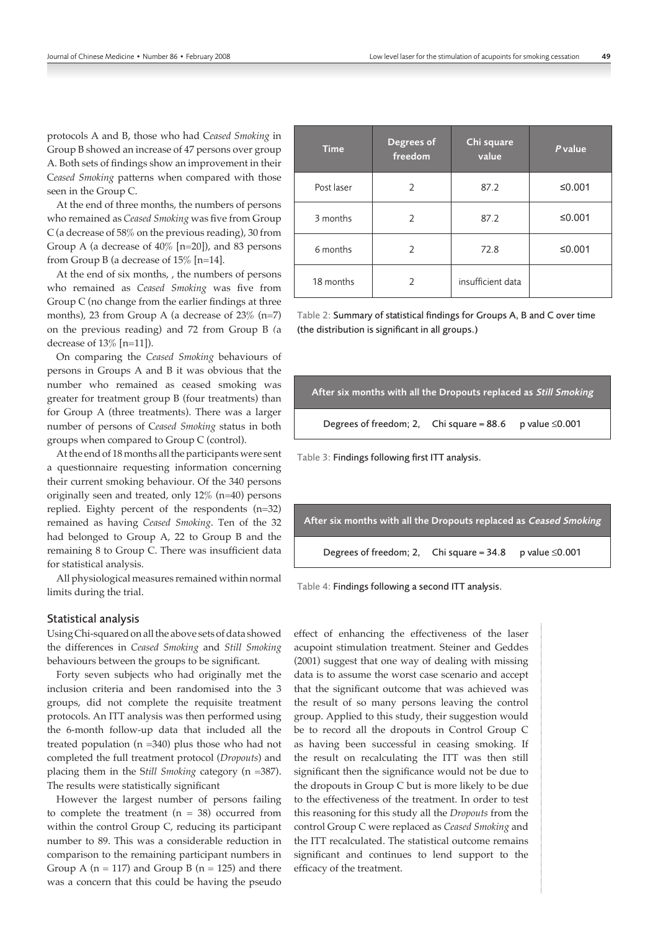protocols A and B, those who had C*eased Smoking* in Group B showed an increase of 47 persons over group A. Both sets of findings show an improvement in their C*eased Smoking* patterns when compared with those seen in the Group C.

At the end of three months, the numbers of persons who remained as *Ceased Smoking* was five from Group C (a decrease of 58% on the previous reading), 30 from Group A (a decrease of 40% [n=20]), and 83 persons from Group B (a decrease of 15% [n=14].

At the end of six months, , the numbers of persons who remained as *Ceased Smoking* was five from Group C (no change from the earlier findings at three months), 23 from Group A (a decrease of 23% (n=7) on the previous reading) and 72 from Group B *(*a decrease of 13% [n=11]).

On comparing the *Ceased Smoking* behaviours of persons in Groups A and B it was obvious that the number who remained as ceased smoking was greater for treatment group B (four treatments) than for Group A (three treatments). There was a larger number of persons of C*eased Smoking* status in both groups when compared to Group C (control).

At the end of 18 months all the participants were sent a questionnaire requesting information concerning their current smoking behaviour. Of the 340 persons originally seen and treated, only 12% (n=40) persons replied. Eighty percent of the respondents (n=32) remained as having *Ceased Smoking*. Ten of the 32 had belonged to Group A, 22 to Group B and the remaining 8 to Group C. There was insufficient data for statistical analysis.

All physiological measures remained within normal limits during the trial.

#### Statistical analysis

Using Chi‑squared on all the above sets of data showed the differences in *Ceased Smoking* and *Still Smoking* behaviours between the groups to be significant.

Forty seven subjects who had originally met the inclusion criteria and been randomised into the 3 groups, did not complete the requisite treatment protocols. An ITT analysis was then performed using the 6‑month follow‑up data that included all the treated population (n =340) plus those who had not completed the full treatment protocol (*Dropouts*) and placing them in the S*till Smoking* category (n =387). The results were statistically significant

However the largest number of persons failing to complete the treatment  $(n = 38)$  occurred from within the control Group C, reducing its participant number to 89. This was a considerable reduction in comparison to the remaining participant numbers in Group A  $(n = 117)$  and Group B  $(n = 125)$  and there was a concern that this could be having the pseudo

| <b>Time</b> | Degrees of<br>freedom | Chi square<br>value | P value |
|-------------|-----------------------|---------------------|---------|
| Post laser  | $\mathfrak{D}$        | 87.2                | ≤0.001  |
| 3 months    | 2                     | 87.2                | ≤0.001  |
| 6 months    | 2                     | 72.8                | ≤0.001  |
| 18 months   | $\mathcal{P}$         | insufficient data   |         |

Table 2: Summary of statistical findings for Groups A, B and C over time (the distribution is significant in all groups.)



Table 3: Findings following first ITT analysis.



Table 4: Findings following a second ITT analysis.

effect of enhancing the effectiveness of the laser acupoint stimulation treatment. Steiner and Geddes (2001) suggest that one way of dealing with missing data is to assume the worst case scenario and accept that the significant outcome that was achieved was the result of so many persons leaving the control group. Applied to this study, their suggestion would be to record all the dropouts in Control Group C as having been successful in ceasing smoking. If the result on recalculating the ITT was then still significant then the significance would not be due to the dropouts in Group C but is more likely to be due to the effectiveness of the treatment. In order to test this reasoning for this study all the *Dropouts* from the control Group C were replaced as *Ceased Smoking* and the ITT recalculated. The statistical outcome remains significant and continues to lend support to the efficacy of the treatment.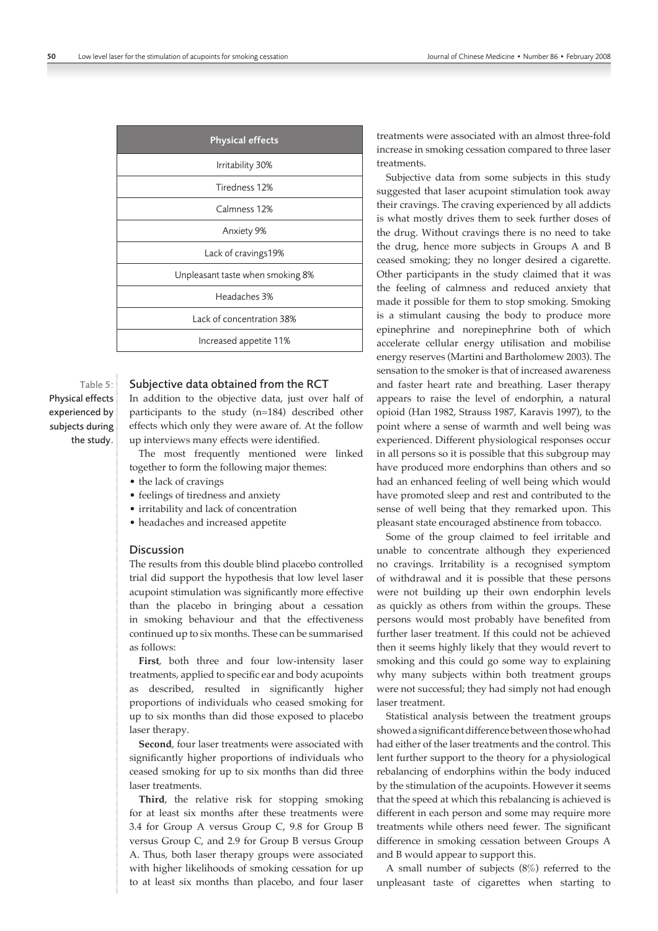| <b>Physical effects</b>          |  |  |
|----------------------------------|--|--|
| Irritability 30%                 |  |  |
| Tiredness 12%                    |  |  |
| Calmness 12%                     |  |  |
| Anxiety 9%                       |  |  |
| Lack of cravings19%              |  |  |
| Unpleasant taste when smoking 8% |  |  |
| Headaches 3%                     |  |  |
| Lack of concentration 38%        |  |  |
| Increased appetite 11%           |  |  |

#### Subjective data obtained from the RCT Table 5: Physical effects

In addition to the objective data, just over half of participants to the study (n=184) described other effects which only they were aware of. At the follow up interviews many effects were identified.

The most frequently mentioned were linked together to form the following major themes:

- the lack of cravings
- feelings of tiredness and anxiety
- irritability and lack of concentration
- headaches and increased appetite

# Discussion

experienced by subjects during the study.

> The results from this double blind placebo controlled trial did support the hypothesis that low level laser acupoint stimulation was significantly more effective than the placebo in bringing about a cessation in smoking behaviour and that the effectiveness continued up to six months. These can be summarised as follows:

> First, both three and four low-intensity laser treatments, applied to specific ear and body acupoints as described, resulted in significantly higher proportions of individuals who ceased smoking for up to six months than did those exposed to placebo laser therapy.

> **Second**, four laser treatments were associated with significantly higher proportions of individuals who ceased smoking for up to six months than did three laser treatments.

> **Third**, the relative risk for stopping smoking for at least six months after these treatments were 3.4 for Group A versus Group C, 9.8 for Group B versus Group C, and 2.9 for Group B versus Group A. Thus, both laser therapy groups were associated with higher likelihoods of smoking cessation for up to at least six months than placebo, and four laser

treatments were associated with an almost three-fold increase in smoking cessation compared to three laser treatments.

Subjective data from some subjects in this study suggested that laser acupoint stimulation took away their cravings. The craving experienced by all addicts is what mostly drives them to seek further doses of the drug. Without cravings there is no need to take the drug, hence more subjects in Groups A and B ceased smoking; they no longer desired a cigarette. Other participants in the study claimed that it was the feeling of calmness and reduced anxiety that made it possible for them to stop smoking. Smoking is a stimulant causing the body to produce more epinephrine and norepinephrine both of which accelerate cellular energy utilisation and mobilise energy reserves (Martini and Bartholomew 2003). The sensation to the smoker is that of increased awareness and faster heart rate and breathing. Laser therapy appears to raise the level of endorphin, a natural opioid (Han 1982, Strauss 1987, Karavis 1997), to the point where a sense of warmth and well being was experienced. Different physiological responses occur in all persons so it is possible that this subgroup may have produced more endorphins than others and so had an enhanced feeling of well being which would have promoted sleep and rest and contributed to the sense of well being that they remarked upon. This pleasant state encouraged abstinence from tobacco.

Some of the group claimed to feel irritable and unable to concentrate although they experienced no cravings. Irritability is a recognised symptom of withdrawal and it is possible that these persons were not building up their own endorphin levels as quickly as others from within the groups. These persons would most probably have benefited from further laser treatment. If this could not be achieved then it seems highly likely that they would revert to smoking and this could go some way to explaining why many subjects within both treatment groups were not successful; they had simply not had enough laser treatment.

Statistical analysis between the treatment groups showed a significant difference between those who had had either of the laser treatments and the control. This lent further support to the theory for a physiological rebalancing of endorphins within the body induced by the stimulation of the acupoints. However it seems that the speed at which this rebalancing is achieved is different in each person and some may require more treatments while others need fewer. The significant difference in smoking cessation between Groups A and B would appear to support this.

A small number of subjects (8%) referred to the unpleasant taste of cigarettes when starting to